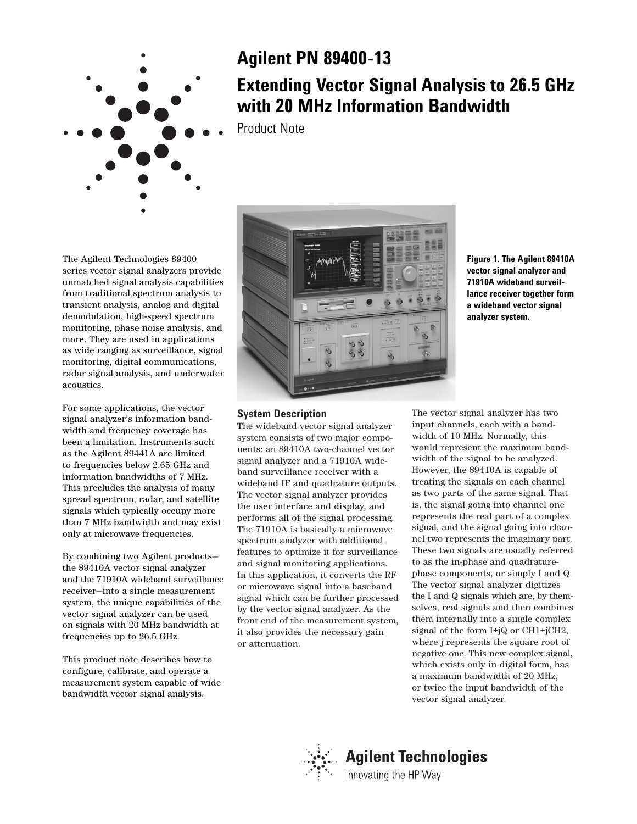

## **Agilent PN 89400-13**

# **Extending Vector Signal Analysis to 26.5 GHz with 20 MHz Information Bandwidth**

Product Note

The Agilent Technologies 89400 series vector signal analyzers provide unmatched signal analysis capabilities from traditional spectrum analysis to transient analysis, analog and digital demodulation, high-speed spectrum monitoring, phase noise analysis, and more. They are used in applications as wide ranging as surveillance, signal monitoring, digital communications, radar signal analysis, and underwater acoustics.

For some applications, the vector signal analyzer's information bandwidth and frequency coverage has been a limitation. Instruments such as the Agilent 89441A are limited to frequencies below 2.65 GHz and information bandwidths of 7 MHz. This precludes the analysis of many spread spectrum, radar, and satellite signals which typically occupy more than 7 MHz bandwidth and may exist only at microwave frequencies.

By combining two Agilent products the 89410A vector signal analyzer and the 71910A wideband surveillance receiver—into a single measurement system, the unique capabilities of the vector signal analyzer can be used on signals with 20 MHz bandwidth at frequencies up to 26.5 GHz.

This product note describes how to configure, calibrate, and operate a measurement system capable of wide bandwidth vector signal analysis.



**Figure 1. The Agilent 89410A vector signal analyzer and 71910A wideband surveillance receiver together form a wideband vector signal analyzer system.**

## **System Description**

The wideband vector signal analyzer system consists of two major components: an 89410A two-channel vector signal analyzer and a 71910A wideband surveillance receiver with a wideband IF and quadrature outputs. The vector signal analyzer provides the user interface and display, and performs all of the signal processing. The 71910A is basically a microwave spectrum analyzer with additional features to optimize it for surveillance and signal monitoring applications. In this application, it converts the RF or microwave signal into a baseband signal which can be further processed by the vector signal analyzer. As the front end of the measurement system, it also provides the necessary gain or attenuation.

The vector signal analyzer has two input channels, each with a bandwidth of 10 MHz. Normally, this would represent the maximum bandwidth of the signal to be analyzed. However, the 89410A is capable of treating the signals on each channel as two parts of the same signal. That is, the signal going into channel one represents the real part of a complex signal, and the signal going into channel two represents the imaginary part. These two signals are usually referred to as the in-phase and quadraturephase components, or simply I and Q. The vector signal analyzer digitizes the I and Q signals which are, by themselves, real signals and then combines them internally into a single complex signal of the form I+jQ or CH1+jCH2, where j represents the square root of negative one. This new complex signal, which exists only in digital form, has a maximum bandwidth of 20 MHz, or twice the input bandwidth of the vector signal analyzer.

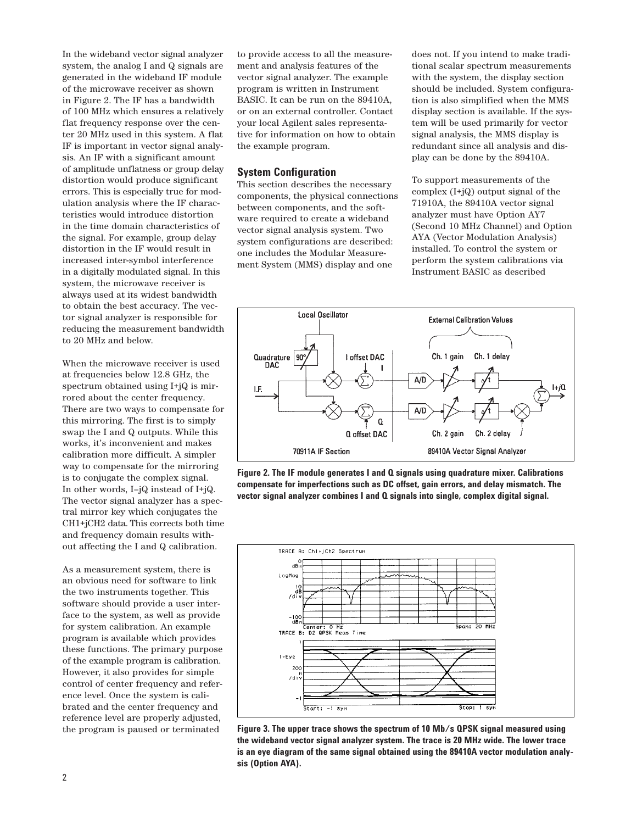In the wideband vector signal analyzer system, the analog I and Q signals are generated in the wideband IF module of the microwave receiver as shown in Figure 2. The IF has a bandwidth of 100 MHz which ensures a relatively flat frequency response over the center 20 MHz used in this system. A flat IF is important in vector signal analysis. An IF with a significant amount of amplitude unflatness or group delay distortion would produce significant errors. This is especially true for modulation analysis where the IF characteristics would introduce distortion in the time domain characteristics of the signal. For example, group delay distortion in the IF would result in increased inter-symbol interference in a digitally modulated signal. In this system, the microwave receiver is always used at its widest bandwidth to obtain the best accuracy. The vector signal analyzer is responsible for reducing the measurement bandwidth to 20 MHz and below.

When the microwave receiver is used at frequencies below 12.8 GHz, the spectrum obtained using I+jQ is mirrored about the center frequency. There are two ways to compensate for this mirroring. The first is to simply swap the I and Q outputs. While this works, it's inconvenient and makes calibration more difficult. A simpler way to compensate for the mirroring is to conjugate the complex signal. In other words, I–jQ instead of I+jQ. The vector signal analyzer has a spectral mirror key which conjugates the CH1+jCH2 data. This corrects both time and frequency domain results without affecting the I and Q calibration.

As a measurement system, there is an obvious need for software to link the two instruments together. This software should provide a user interface to the system, as well as provide for system calibration. An example program is available which provides these functions. The primary purpose of the example program is calibration. However, it also provides for simple control of center frequency and reference level. Once the system is calibrated and the center frequency and reference level are properly adjusted, the program is paused or terminated

to provide access to all the measurement and analysis features of the vector signal analyzer. The example program is written in Instrument BASIC. It can be run on the 89410A, or on an external controller. Contact your local Agilent sales representative for information on how to obtain the example program.

## **System Configuration**

This section describes the necessary components, the physical connections between components, and the software required to create a wideband vector signal analysis system. Two system configurations are described: one includes the Modular Measurement System (MMS) display and one

does not. If you intend to make traditional scalar spectrum measurements with the system, the display section should be included. System configuration is also simplified when the MMS display section is available. If the system will be used primarily for vector signal analysis, the MMS display is redundant since all analysis and display can be done by the 89410A.

To support measurements of the complex (I+jQ) output signal of the 71910A, the 89410A vector signal analyzer must have Option AY7 (Second 10 MHz Channel) and Option AYA (Vector Modulation Analysis) installed. To control the system or perform the system calibrations via Instrument BASIC as described



**Figure 2. The IF module generates I and Q signals using quadrature mixer. Calibrations compensate for imperfections such as DC offset, gain errors, and delay mismatch. The vector signal analyzer combines I and Q signals into single, complex digital signal.**



**Figure 3. The upper trace shows the spectrum of 10 Mb/s QPSK signal measured using the wideband vector signal analyzer system. The trace is 20 MHz wide. The lower trace is an eye diagram of the same signal obtained using the 89410A vector modulation analysis (Option AYA).**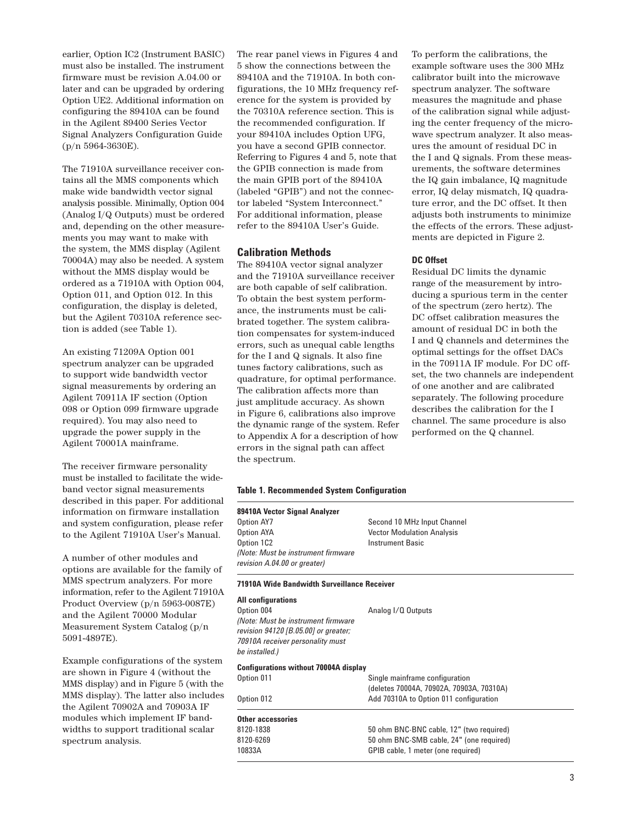earlier, Option IC2 (Instrument BASIC) must also be installed. The instrument firmware must be revision A.04.00 or later and can be upgraded by ordering Option UE2. Additional information on configuring the 89410A can be found in the Agilent 89400 Series Vector Signal Analyzers Configuration Guide (p/n 5964-3630E).

The 71910A surveillance receiver contains all the MMS components which make wide bandwidth vector signal analysis possible. Minimally, Option 004 (Analog I/Q Outputs) must be ordered and, depending on the other measurements you may want to make with the system, the MMS display (Agilent 70004A) may also be needed. A system without the MMS display would be ordered as a 71910A with Option 004, Option 011, and Option 012. In this configuration, the display is deleted, but the Agilent 70310A reference section is added (see Table 1).

An existing 71209A Option 001 spectrum analyzer can be upgraded to support wide bandwidth vector signal measurements by ordering an Agilent 70911A IF section (Option 098 or Option 099 firmware upgrade required). You may also need to upgrade the power supply in the Agilent 70001A mainframe.

The receiver firmware personality must be installed to facilitate the wideband vector signal measurements described in this paper. For additional information on firmware installation and system configuration, please refer to the Agilent 71910A User's Manual.

A number of other modules and options are available for the family of MMS spectrum analyzers. For more information, refer to the Agilent 71910A Product Overview (p/n 5963-0087E) and the Agilent 70000 Modular Measurement System Catalog (p/n 5091-4897E).

Example configurations of the system are shown in Figure 4 (without the MMS display) and in Figure 5 (with the MMS display). The latter also includes the Agilent 70902A and 70903A IF modules which implement IF bandwidths to support traditional scalar spectrum analysis.

The rear panel views in Figures 4 and 5 show the connections between the 89410A and the 71910A. In both configurations, the 10 MHz frequency reference for the system is provided by the 70310A reference section. This is the recommended configuration. If your 89410A includes Option UFG, you have a second GPIB connector. Referring to Figures 4 and 5, note that the GPIB connection is made from the main GPIB port of the 89410A (labeled "GPIB") and not the connector labeled "System Interconnect." For additional information, please refer to the 89410A User's Guide.

## **Calibration Methods**

The 89410A vector signal analyzer and the 71910A surveillance receiver are both capable of self calibration. To obtain the best system performance, the instruments must be calibrated together. The system calibration compensates for system-induced errors, such as unequal cable lengths for the I and Q signals. It also fine tunes factory calibrations, such as quadrature, for optimal performance. The calibration affects more than just amplitude accuracy. As shown in Figure 6, calibrations also improve the dynamic range of the system. Refer to Appendix A for a description of how errors in the signal path can affect the spectrum.

To perform the calibrations, the example software uses the 300 MHz calibrator built into the microwave spectrum analyzer. The software measures the magnitude and phase of the calibration signal while adjusting the center frequency of the microwave spectrum analyzer. It also measures the amount of residual DC in the I and Q signals. From these measurements, the software determines the IQ gain imbalance, IQ magnitude error, IQ delay mismatch, IQ quadrature error, and the DC offset. It then adjusts both instruments to minimize the effects of the errors. These adjustments are depicted in Figure 2.

### **DC Offset**

Residual DC limits the dynamic range of the measurement by introducing a spurious term in the center of the spectrum (zero hertz). The DC offset calibration measures the amount of residual DC in both the I and Q channels and determines the optimal settings for the offset DACs in the 70911A IF module. For DC offset, the two channels are independent of one another and are calibrated separately. The following procedure describes the calibration for the I channel. The same procedure is also performed on the Q channel.

#### **Table 1. Recommended System Configuration**

## **89410A Vector Signal Analyzer**

 $\overline{a}$ 

Second 10 MHz Input Channel Option AYA **Vector Modulation Analysis** Option 1C2 Instrument Basic *(Note: Must be instrument firmware revision A.04.00 or greater)*

#### **71910A Wide Bandwidth Surveillance Receiver**

| All configurations                                                                                                               |                                                                            |  |  |  |  |  |  |
|----------------------------------------------------------------------------------------------------------------------------------|----------------------------------------------------------------------------|--|--|--|--|--|--|
| Option 004                                                                                                                       | Analog I/Q Outputs                                                         |  |  |  |  |  |  |
| (Note: Must be instrument firmware<br>revision 94120 [B.05.00] or greater;<br>70910A receiver personality must<br>be installed.) |                                                                            |  |  |  |  |  |  |
| <b>Configurations without 70004A display</b>                                                                                     |                                                                            |  |  |  |  |  |  |
| Option 011                                                                                                                       | Single mainframe configuration<br>(deletes 70004A, 70902A, 70903A, 70310A) |  |  |  |  |  |  |
| Option 012                                                                                                                       | Add 70310A to Option 011 configuration                                     |  |  |  |  |  |  |
| Other accessories                                                                                                                |                                                                            |  |  |  |  |  |  |
| 8120-1838                                                                                                                        | 50 ohm BNC-BNC cable, 12" (two required)                                   |  |  |  |  |  |  |
| 8120-6269                                                                                                                        | 50 ohm BNC-SMB cable, 24" (one required)                                   |  |  |  |  |  |  |
| 10833A                                                                                                                           | GPIB cable, 1 meter (one required)                                         |  |  |  |  |  |  |
|                                                                                                                                  |                                                                            |  |  |  |  |  |  |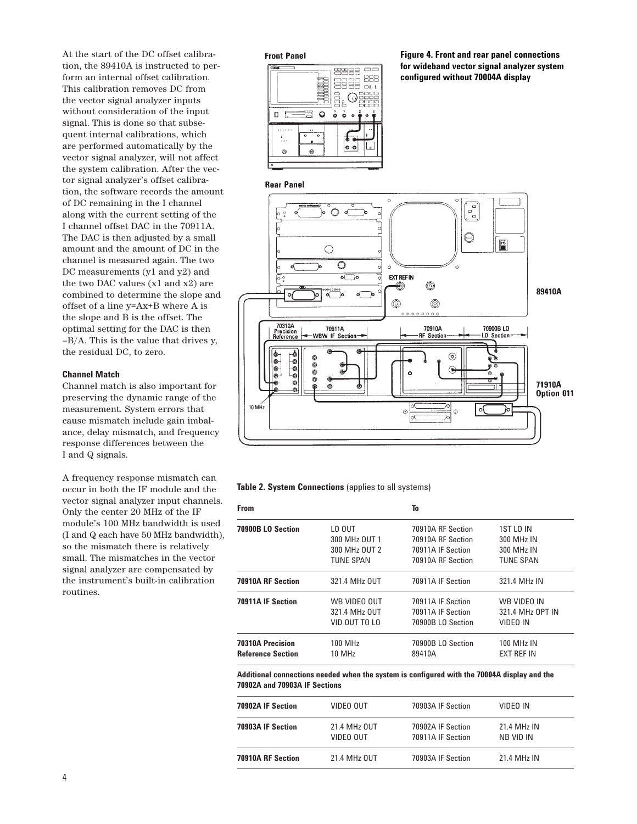At the start of the DC offset calibration, the 89410A is instructed to perform an internal offset calibration. This calibration removes DC from the vector signal analyzer inputs without consideration of the input signal. This is done so that subsequent internal calibrations, which are performed automatically by the vector signal analyzer, will not affect the system calibration. After the vector signal analyzer's offset calibration, the software records the amount of DC remaining in the I channel along with the current setting of the I channel offset DAC in the 70911A. The DAC is then adjusted by a small amount and the amount of DC in the channel is measured again. The two DC measurements (y1 and y2) and the two DAC values (x1 and x2) are combined to determine the slope and offset of a line y=Ax+B where A is the slope and B is the offset. The optimal setting for the DAC is then –B/A. This is the value that drives y, the residual DC, to zero.

## **Channel Match**

Channel match is also important for preserving the dynamic range of the measurement. System errors that cause mismatch include gain imbalance, delay mismatch, and frequency response differences between the I and Q signals.

A frequency response mismatch can occur in both the IF module and the vector signal analyzer input channels. Only the center 20 MHz of the IF module's 100 MHz bandwidth is used (I and Q each have 50 MHz bandwidth), so the mismatch there is relatively small. The mismatches in the vector signal analyzer are compensated by the instrument's built-in calibration routines.

## **Front Panel**



**Figure 4. Front and rear panel connections for wideband vector signal analyzer system configured without 70004A display**

## **Rear Panel**



**Table 2. System Connections** (applies to all systems)

| <b>From</b>              |                  | To                |                        |
|--------------------------|------------------|-------------------|------------------------|
| 70900B LO Section        | LO OUT           | 70910A RF Section | 1ST LO IN              |
|                          | 300 MHz OUT 1    | 70910A RF Section | 300 MH <sub>z</sub> IN |
|                          | 300 MHz OUT 2    | 70911A IF Section | 300 MHz IN             |
|                          | <b>TUNE SPAN</b> | 70910A RF Section | <b>TUNE SPAN</b>       |
| 70910A RF Section        | 321.4 MHz OUT    | 70911A IF Section | 321.4 MHz IN           |
| 70911A IF Section        | WB VIDEO OUT     | 70911A IF Section | WB VIDEO IN            |
|                          | 321.4 MHz OUT    | 70911A IF Section | 321.4 MHz OPT IN       |
|                          | VID OUT TO LO    | 70900B LO Section | VIDEO IN               |
| <b>70310A Precision</b>  | 100 MHz          | 70900B LO Section | <b>100 MHz IN</b>      |
| <b>Reference Section</b> | 10 MHz           | 89410A            | EXT REF IN             |

**Additional connections needed when the system is configured with the 70004A display and the 70902A and 70903A IF Sections**

| 70902A IF Section | VIDEO OUT                 | 70903A IF Section                      | VIDEO IN                             |
|-------------------|---------------------------|----------------------------------------|--------------------------------------|
| 70903A IF Section | 21.4 MHz OUT<br>VIDEO OUT | 70902A IF Section<br>70911A IF Section | 21.4 MH <sub>7</sub> IN<br>NB VID IN |
| 70910A RF Section | 21.4 MHz OUT              | 70903A IF Section                      | 21.4 MH <sub>7</sub> IN              |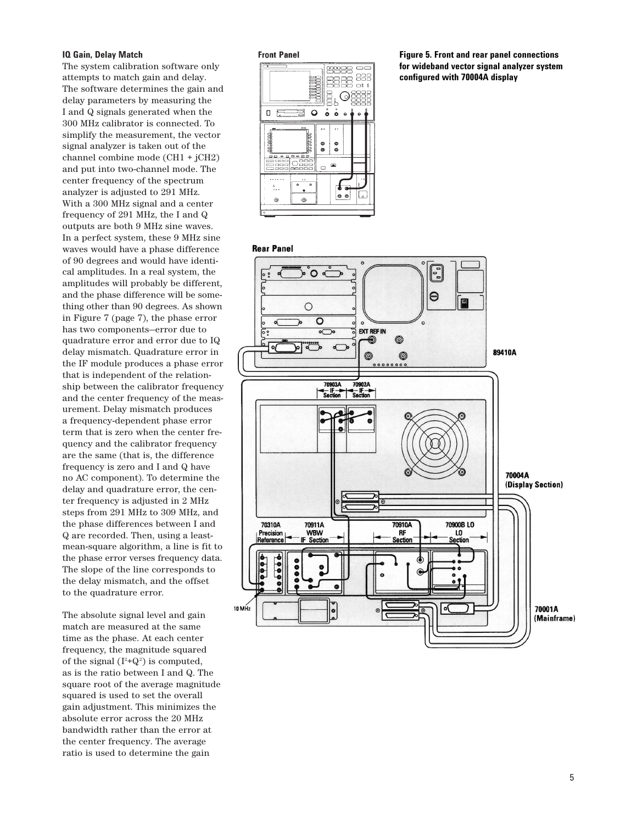#### **IQ Gain, Delay Match**

The system calibration software onl y attempts to match gain and delay. The software determines the gain and delay parameters by measuring the I and Q signals generated when the 300 MHz calibrator is connected. T o simplify the measurement, the vector signal analyzer is taken out of the channel combine mode (CH1 + jCH2) and put into two-channel mode. The center frequency of the spectrum analyzer is adjusted to 291 MHz. With a 300 MHz signal and a center frequency of 291 MHz, the I and Q outputs are both 9 MHz sine waves. In a per fect system, these 9 MHz sine waves would have a phase difference of 90 degrees and would have identi cal amplitudes. In a real system, the amplitudes will probably be different, and the phase difference will be some thing other than 90 degrees. As shown in Figure 7 (page 7), the phase er ror has two components-error due to quadrature er ror and er ror due to IQ delay mismatch. Quadrature er ror in the IF module produces a phase er ror that is independent of the relation ship between the calibrator frequency and the center frequency of the meas urement. Delay mismatch produces a frequency-dependent phase er ror term that is zero when the center fre quency and the calibrator frequency are the same (that is, the difference frequency is zero and I and Q have no AC component). To determine the delay and quadrature error, the center frequency is adjusted in 2 MHz steps from 291 MHz to 309 MHz, and the phase differences between I and Q are recorded. Then, using a leastmean-square algorithm, a line is fit t o the phase er ror verses frequency data. The slope of the line corresponds t o the delay mismatch, and the offset to the quadrature error.

The absolute signal le vel and gain match are measured at the same time as the phase. At each center frequency, the magnitude squared of the signal  $(I^2+Q^2)$  is computed, as is the ratio between I and Q. The square root of the average magnitude squared is used to set the o verall gain adjustment. This minimizes the absolute er ror across the 20 MHz bandwidth rather than the er ror at the center frequency. The average ratio is used to determine the gain

#### **Front Panel**



**Figure 5. Front and rear panel connections for wideband vector signal analyzer system configured with 70004A display**

#### **Rear Panel**

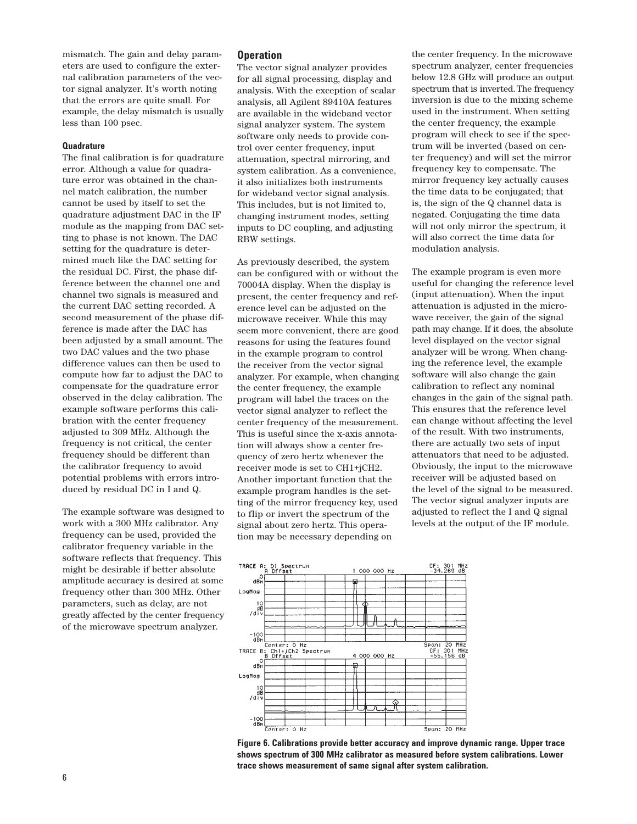mismatch. The gain and delay parameters are used to configure the external calibration parameters of the vector signal analyzer. It's worth noting that the errors are quite small. For example, the delay mismatch is usually less than 100 psec.

## **Quadrature**

The final calibration is for quadrature error. Although a value for quadrature error was obtained in the channel match calibration, the number cannot be used by itself to set the quadrature adjustment DAC in the IF module as the mapping from DAC setting to phase is not known. The DAC setting for the quadrature is determined much like the DAC setting for the residual DC. First, the phase difference between the channel one and channel two signals is measured and the current DAC setting recorded. A second measurement of the phase difference is made after the DAC has been adjusted by a small amount. The two DAC values and the two phase difference values can then be used to compute how far to adjust the DAC to compensate for the quadrature error observed in the delay calibration. The example software performs this calibration with the center frequency adjusted to 309 MHz. Although the frequency is not critical, the center frequency should be different than the calibrator frequency to avoid potential problems with errors introduced by residual DC in I and Q.

The example software was designed to work with a 300 MHz calibrator. Any frequency can be used, provided the calibrator frequency variable in the software reflects that frequency. This might be desirable if better absolute amplitude accuracy is desired at some frequency other than 300 MHz. Other parameters, such as delay, are not greatly affected by the center frequency of the microwave spectrum analyzer.

### **Operation**

The vector signal analyzer provides for all signal processing, display and analysis. With the exception of scalar analysis, all Agilent 89410A features are available in the wideband vector signal analyzer system. The system software only needs to provide control over center frequency, input attenuation, spectral mirroring, and system calibration. As a convenience, it also initializes both instruments for wideband vector signal analysis. This includes, but is not limited to, changing instrument modes, setting inputs to DC coupling, and adjusting RBW settings.

As previously described, the system can be configured with or without the 70004A display. When the display is present, the center frequency and reference level can be adjusted on the microwave receiver. While this may seem more convenient, there are good reasons for using the features found in the example program to control the receiver from the vector signal analyzer. For example, when changing the center frequency, the example program will label the traces on the vector signal analyzer to reflect the center frequency of the measurement. This is useful since the x-axis annotation will always show a center frequency of zero hertz whenever the receiver mode is set to CH1+jCH2. Another important function that the example program handles is the setting of the mirror frequency key, used to flip or invert the spectrum of the signal about zero hertz. This operation may be necessary depending on

the center frequency. In the microwave spectrum analyzer, center frequencies below 12.8 GHz will produce an output spectrum that is inverted.The frequency inversion is due to the mixing scheme used in the instrument. When setting the center frequency, the example program will check to see if the spectrum will be inverted (based on center frequency) and will set the mirror frequency key to compensate. The mirror frequency key actually causes the time data to be conjugated; that is, the sign of the Q channel data is negated. Conjugating the time data will not only mirror the spectrum, it will also correct the time data for modulation analysis.

The example program is even more useful for changing the reference level (input attenuation). When the input attenuation is adjusted in the microwave receiver, the gain of the signal path may change. If it does, the absolute level displayed on the vector signal analyzer will be wrong. When changing the reference level, the example software will also change the gain calibration to reflect any nominal changes in the gain of the signal path. This ensures that the reference level can change without affecting the level of the result. With two instruments, there are actually two sets of input attenuators that need to be adjusted. Obviously, the input to the microwave receiver will be adjusted based on the level of the signal to be measured. The vector signal analyzer inputs are adjusted to reflect the I and Q signal levels at the output of the IF module.



**Figure 6. Calibrations provide better accuracy and improve dynamic range. Upper trace shows spectrum of 300 MHz calibrator as measured before system calibrations. Lower trace shows measurement of same signal after system calibration.**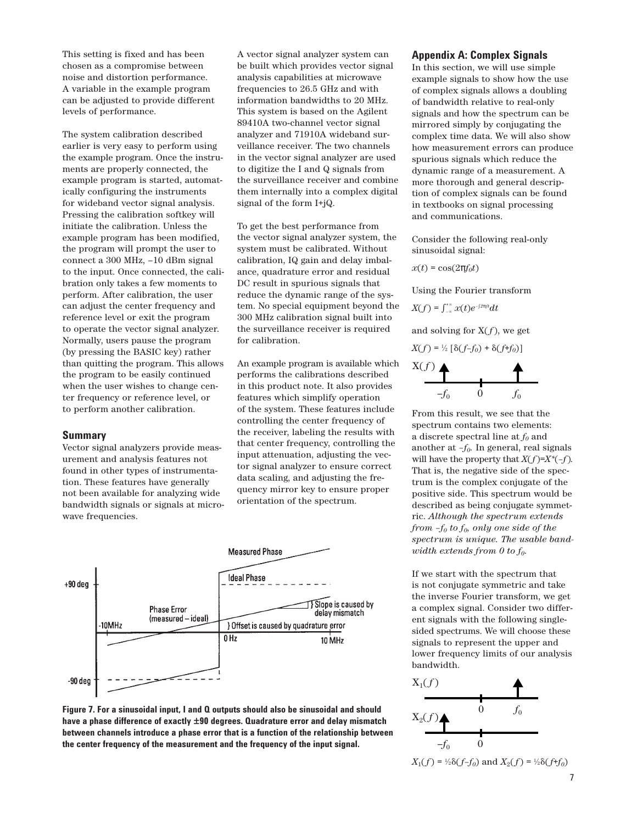This setting is fixed and has been chosen as a compromise between noise and distortion performance. A variable in the example program can be adjusted to provide different levels of performance.

The system calibration described earlier is very easy to perform using the example program. Once the instruments are properly connected, the example program is started, automatically configuring the instruments for wideband vector signal analysis. Pressing the calibration softkey will initiate the calibration. Unless the example program has been modified, the program will prompt the user to connect a 300 MHz, –10 dBm signal to the input. Once connected, the calibration only takes a few moments to perform. After calibration, the user can adjust the center frequency and reference level or exit the program to operate the vector signal analyzer. Normally, users pause the program (by pressing the BASIC key) rather than quitting the program. This allows the program to be easily continued when the user wishes to change center frequency or reference level, or to perform another calibration.

## **Summary**

Vector signal analyzers provide measurement and analysis features not found in other types of instrumentation. These features have generally not been available for analyzing wide bandwidth signals or signals at microwave frequencies.

A vector signal analyzer system can be built which provides vector signal analysis capabilities at microwave frequencies to 26.5 GHz and with information bandwidths to 20 MHz. This system is based on the Agilent 89410A two-channel vector signal analyzer and 71910A wideband surveillance receiver. The two channels in the vector signal analyzer are used to digitize the I and Q signals from the surveillance receiver and combine them internally into a complex digital signal of the form I+jQ.

To get the best performance from the vector signal analyzer system, the system must be calibrated. Without calibration, IQ gain and delay imbalance, quadrature error and residual DC result in spurious signals that reduce the dynamic range of the system. No special equipment beyond the 300 MHz calibration signal built into the surveillance receiver is required for calibration.

An example program is available which performs the calibrations described in this product note. It also provides features which simplify operation of the system. These features include controlling the center frequency of the receiver, labeling the results with that center frequency, controlling the input attenuation, adjusting the vector signal analyzer to ensure correct data scaling, and adjusting the frequency mirror key to ensure proper orientation of the spectrum.





## **Appendix A: Complex Signals**

In this section, we will use simple example signals to show how the use of complex signals allows a doubling of bandwidth relative to real-only signals and how the spectrum can be mirrored simply by conjugating the complex time data. We will also show how measurement errors can produce spurious signals which reduce the dynamic range of a measurement. A more thorough and general description of complex signals can be found in textbooks on signal processing and communications.

Consider the following real-only sinusoidal signal:

 $x(t) = \cos(2\pi f_0 t)$ 

Using the Fourier transform

 $X(f) = \int_{-\infty}^{+\infty} x(t)e^{-\int_{-\infty}^{x} t}dt$ 

and solving for  $X(f)$ , we get

$$
X(f) = \frac{1}{2} \left[ \delta(f - f_0) + \delta(f + f_0) \right]
$$

$$
\begin{array}{c}\nX(f) \longrightarrow \\
\hline\n-f_0 \quad 0 \quad f_0\n\end{array}
$$

From this result, we see that the spectrum contains two elements: a discrete spectral line at  $f_0$  and another at *–f0.* In general, real signals will have the property that  $X(f)=X^*(-f)$ . That is, the negative side of the spectrum is the complex conjugate of the positive side. This spectrum would be described as being conjugate symmetric. *Although the spectrum extends from –f0 to f0, only one side of the spectrum is unique. The usable bandwidth extends from 0 to f0.*

If we start with the spectrum that is not conjugate symmetric and take the inverse Fourier transform, we get a complex signal. Consider two different signals with the following singlesided spectrums. We will choose these signals to represent the upper and lower frequency limits of our analysis bandwidth.